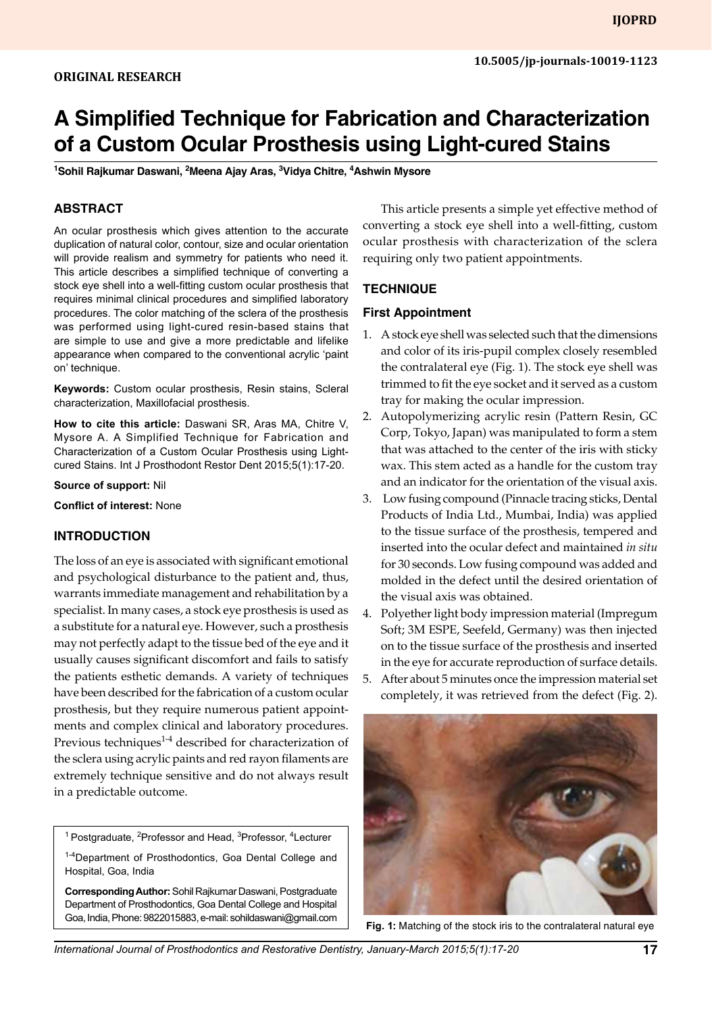# **A Simplified Technique for Fabrication and Characterization of a Custom Ocular Prosthesis using Light-cured Stains**

**1 Sohil Rajkumar Daswani, <sup>2</sup> Meena Ajay Aras, <sup>3</sup> Vidya Chitre, <sup>4</sup> Ashwin Mysore**

## **Abstract**

An ocular prosthesis which gives attention to the accurate duplication of natural color, contour, size and ocular orientation will provide realism and symmetry for patients who need it. This article describes a simplified technique of converting a stock eye shell into a well-fitting custom ocular prosthesis that requires minimal clinical procedures and simplified laboratory procedures. The color matching of the sclera of the prosthesis was performed using light-cured resin-based stains that are simple to use and give a more predictable and lifelike appearance when compared to the conventional acrylic 'paint on' technique.

**Keywords:** Custom ocular prosthesis, Resin stains, Scleral characterization, Maxillofacial prosthesis.

**How to cite this article:** Daswani SR, Aras MA, Chitre V, Mysore A. A Simplified Technique for Fabrication and Characterization of a Custom Ocular Prosthesis using Lightcured Stains. Int J Prosthodont Restor Dent 2015;5(1):17-20.

#### **Source of support:** Nil

**Conflict of interest:** None

#### **INTRODUCTION**

The loss of an eye is associated with significant emotional and psychological disturbance to the patient and, thus, warrants immediate management and rehabilitation by a specialist. In many cases, a stock eye prosthesis is used as a substitute for a natural eye. However, such a prosthesis may not perfectly adapt to the tissue bed of the eye and it usually causes significant discomfort and fails to satisfy the patients esthetic demands. A variety of techniques have been described for the fabrication of a custom ocular prosthesis, but they require numerous patient appointments and complex clinical and laboratory procedures. Previous techniques $^{14}$  described for characterization of the sclera using acrylic paints and red rayon filaments are extremely technique sensitive and do not always result in a predictable outcome.

<sup>1</sup> Postgraduate, <sup>2</sup>Professor and Head, <sup>3</sup>Professor, <sup>4</sup>Lecturer

<sup>1-4</sup>Department of Prosthodontics, Goa Dental College and Hospital, Goa, India

**Corresponding Author:** Sohil Rajkumar Daswani, Postgraduate Department of Prosthodontics, Goa Dental College and Hospital Goa, India, Phone: 9822015883, e-mail: sohildaswani@gmail.com

This article presents a simple yet effective method of converting a stock eye shell into a well-fitting, custom ocular prosthesis with characterization of the sclera requiring only two patient appointments.

#### **Technique**

#### **First Appointment**

- 1. A stock eye shell was selected such that the dimensions and color of its iris-pupil complex closely resembled the contralateral eye (Fig. 1). The stock eye shell was trimmed to fit the eye socket and it served as a custom tray for making the ocular impression.
- 2. Autopolymerizing acrylic resin (Pattern Resin, GC Corp, Tokyo, Japan) was manipulated to form a stem that was attached to the center of the iris with sticky wax. This stem acted as a handle for the custom tray and an indicator for the orientation of the visual axis.
- 3. Low fusing compound (Pinnacle tracing sticks, Dental Products of India Ltd., Mumbai, India) was applied to the tissue surface of the prosthesis, tempered and inserted into the ocular defect and maintained *in situ*  for 30 seconds. Low fusing compound was added and molded in the defect until the desired orientation of the visual axis was obtained.
- 4. Polyether light body impression material (Impregum Soft; 3M ESPE, Seefeld, Germany) was then injected on to the tissue surface of the prosthesis and inserted in the eye for accurate reproduction of surface details.
- 5. After about 5 minutes once the impression material set completely, it was retrieved from the defect (Fig. 2).



**Fig. 1:** Matching of the stock iris to the contralateral natural eye

*International Journal of Prosthodontics and Restorative Dentistry, January-March 2015;5(1):17-20* **17**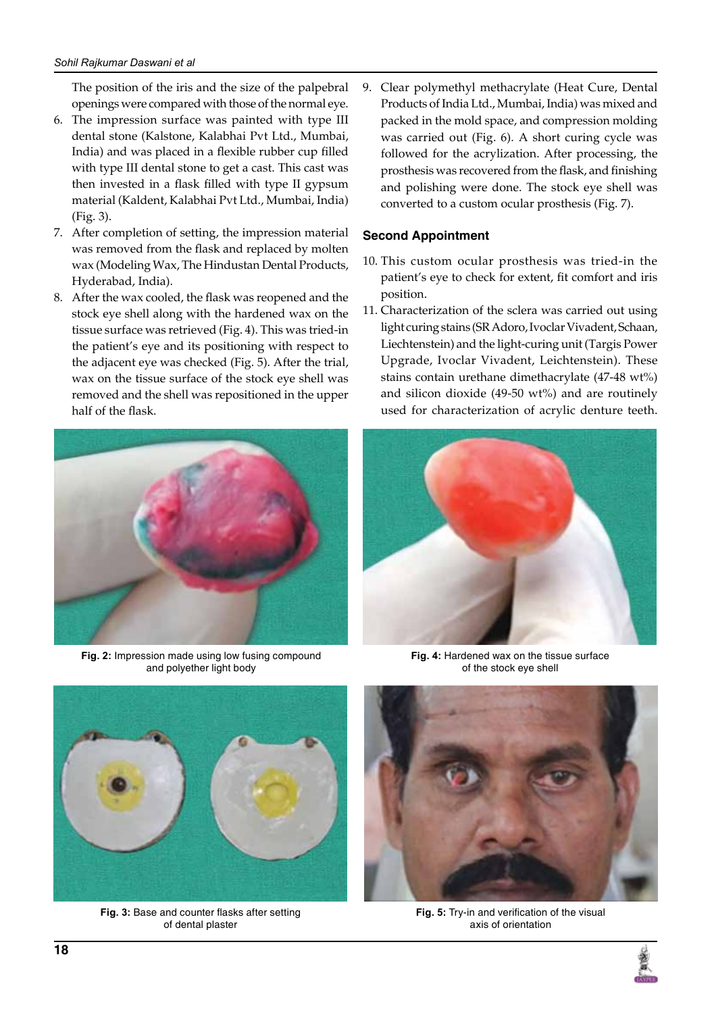The position of the iris and the size of the palpebral openings were compared with those of the normal eye.

- 6. The impression surface was painted with type III dental stone (Kalstone, Kalabhai Pvt Ltd., Mumbai, India) and was placed in a flexible rubber cup filled with type III dental stone to get a cast. This cast was then invested in a flask filled with type II gypsum material (Kaldent, Kalabhai Pvt Ltd., Mumbai, India) (Fig. 3).
- 7. After completion of setting, the impression material was removed from the flask and replaced by molten wax (Modeling Wax, The Hindustan Dental Products, Hyderabad, India).
- 8. After the wax cooled, the flask was reopened and the stock eye shell along with the hardened wax on the tissue surface was retrieved (Fig. 4). This was tried-in the patient's eye and its positioning with respect to the adjacent eye was checked (Fig. 5). After the trial, wax on the tissue surface of the stock eye shell was removed and the shell was repositioned in the upper half of the flask.



**Fig. 2:** Impression made using low fusing compound and polyether light body

9. Clear polymethyl methacrylate (Heat Cure, Dental Products of India Ltd., Mumbai, India) was mixed and packed in the mold space, and compression molding was carried out (Fig. 6). A short curing cycle was followed for the acrylization. After processing, the prosthesis was recovered from the flask, and finishing and polishing were done. The stock eye shell was converted to a custom ocular prosthesis (Fig. 7).

# **Second Appointment**

- 10. This custom ocular prosthesis was tried-in the patient's eye to check for extent, fit comfort and iris position.
- 11. Characterization of the sclera was carried out using light curing stains (SR Adoro, Ivoclar Vivadent, Schaan, Liechtenstein) and the light-curing unit (Targis Power Upgrade, Ivoclar Vivadent, Leichtenstein). These stains contain urethane dimethacrylate (47-48 wt%) and silicon dioxide (49-50 wt%) and are routinely used for characterization of acrylic denture teeth.



**Fig. 4:** Hardened wax on the tissue surface of the stock eye shell



**Fig. 3:** Base and counter flasks after setting of dental plaster



**Fig. 5:** Try-in and verification of the visual axis of orientation

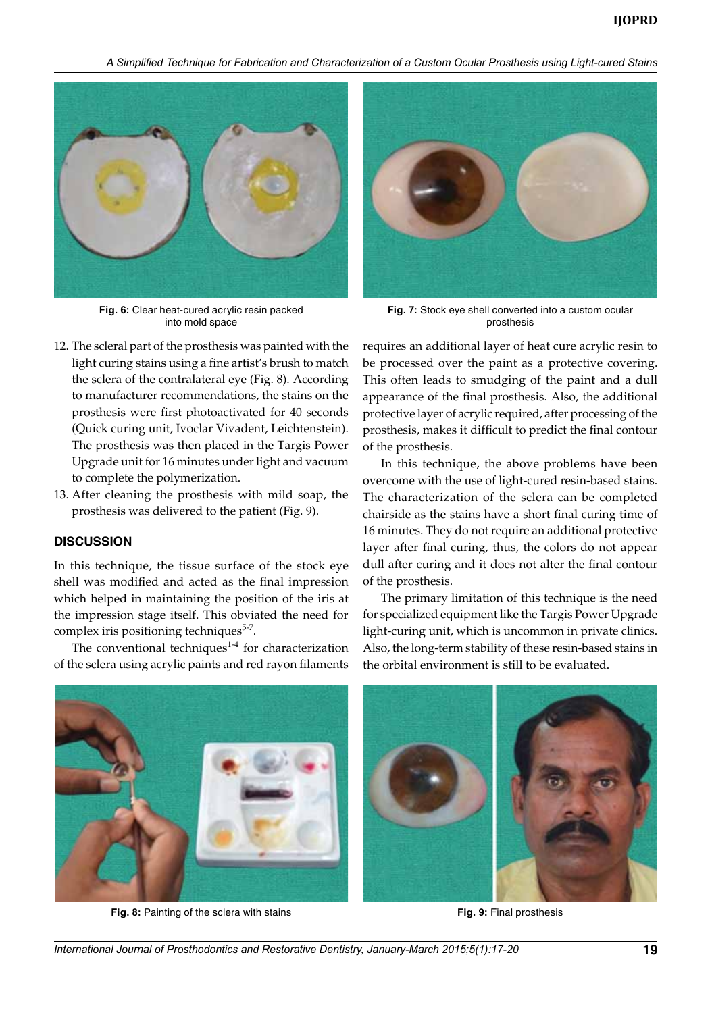*A Simplified Technique for Fabrication and Characterization of a Custom Ocular Prosthesis using Light-cured Stains*



**Fig. 6:** Clear heat-cured acrylic resin packed into mold space

- 12. The scleral part of the prosthesis was painted with the light curing stains using a fine artist's brush to match the sclera of the contralateral eye (Fig. 8). According to manufacturer recommendations, the stains on the prosthesis were first photoactivated for 40 seconds (Quick curing unit, Ivoclar Vivadent, Leichtenstein). The prosthesis was then placed in the Targis Power Upgrade unit for 16 minutes under light and vacuum to complete the polymerization.
- 13. After cleaning the prosthesis with mild soap, the prosthesis was delivered to the patient (Fig. 9).

### **Discussion**

In this technique, the tissue surface of the stock eye shell was modified and acted as the final impression which helped in maintaining the position of the iris at the impression stage itself. This obviated the need for complex iris positioning techniques<sup>5-7</sup>.

The conventional techniques $1-4$  for characterization of the sclera using acrylic paints and red rayon filaments



**Fig. 7:** Stock eye shell converted into a custom ocular prosthesis

requires an additional layer of heat cure acrylic resin to be processed over the paint as a protective covering. This often leads to smudging of the paint and a dull appearance of the final prosthesis. Also, the additional protective layer of acrylic required, after processing of the prosthesis, makes it difficult to predict the final contour of the prosthesis.

In this technique, the above problems have been overcome with the use of light-cured resin-based stains. The characterization of the sclera can be completed chairside as the stains have a short final curing time of 16 minutes. They do not require an additional protective layer after final curing, thus, the colors do not appear dull after curing and it does not alter the final contour of the prosthesis.

The primary limitation of this technique is the need for specialized equipment like the Targis Power Upgrade light-curing unit, which is uncommon in private clinics. Also, the long-term stability of these resin-based stains in the orbital environment is still to be evaluated.



**Fig. 8:** Painting of the sclera with stains **Fig. 9:** Final prosthesis